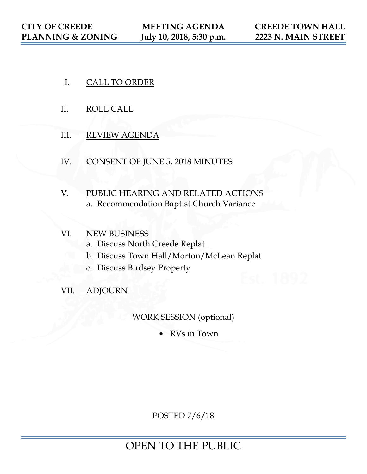- I. CALL TO ORDER
- II. ROLL CALL
- III. REVIEW AGENDA
- IV. CONSENT OF JUNE 5, 2018 MINUTES
- V. PUBLIC HEARING AND RELATED ACTIONS a. Recommendation Baptist Church Variance
- VI. NEW BUSINESS a. Discuss North Creede Replat b. Discuss Town Hall/Morton/McLean Replat c. Discuss Birdsey Property
- VII. ADJOURN

WORK SESSION (optional)

• RVs in Town

POSTED 7/6/18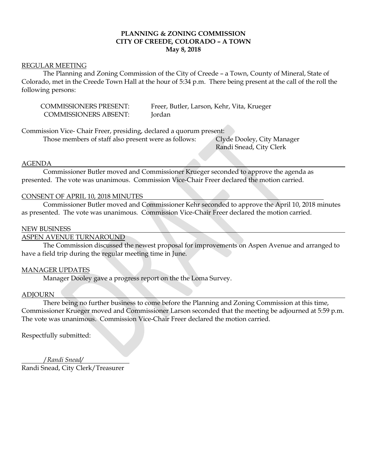### **PLANNING & ZONING COMMISSION CITY OF CREEDE, COLORADO – A TOWN May 8, 2018**

### REGULAR MEETING

The Planning and Zoning Commission of the City of Creede – a Town, County of Mineral, State of Colorado, met in the Creede Town Hall at the hour of 5:34 p.m. There being present at the call of the roll the following persons:

COMMISSIONERS ABSENT: Jordan

COMMISSIONERS PRESENT: Freer, Butler, Larson, Kehr, Vita, Krueger

Commission Vice- Chair Freer, presiding, declared a quorum present:

Those members of staff also present were as follows: Clyde Dooley, City Manager

Randi Snead, City Clerk

### AGENDA

Commissioner Butler moved and Commissioner Krueger seconded to approve the agenda as presented. The vote was unanimous. Commission Vice-Chair Freer declared the motion carried.

### CONSENT OF APRIL 10, 2018 MINUTES

Commissioner Butler moved and Commissioner Kehr seconded to approve the April 10, 2018 minutes as presented. The vote was unanimous. Commission Vice-Chair Freer declared the motion carried.

### NEW BUSINESS

### ASPEN AVENUE TURNAROUND

The Commission discussed the newest proposal for improvements on Aspen Avenue and arranged to have a field trip during the regular meeting time in June.

### MANAGER UPDATES

Manager Dooley gave a progress report on the the Loma Survey.

### ADJOURN

There being no further business to come before the Planning and Zoning Commission at this time, Commissioner Krueger moved and Commissioner Larson seconded that the meeting be adjourned at 5:59 p.m. The vote was unanimous. Commission Vice-Chair Freer declared the motion carried.

Respectfully submitted:

 /*Randi Snead/* Randi Snead, City Clerk/Treasurer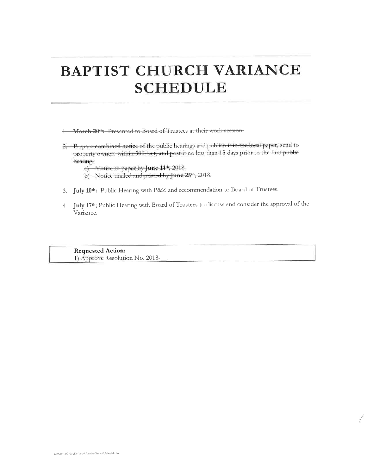# **BAPTIST CHURCH VARIANCE SCHEDULE**

1. March 20<sup>th</sup>: Presented to Board of Trustees at their work session.

2. Prepare combined notice of the public hearings and publish it in the local paper, send to property owners within 300 feet, and post it no less than 15 days prior to the first public hearing.

a) Notice to paper by June 14th, 2018.

- b) Notice mailed and posted by June 25<sup>th</sup>, 2018.
- 3. July 10th: Public Hearing with P&Z and recommendation to Board of Trustees.
- 4. July 17th; Public Hearing with Board of Trustees to discuss and consider the approval of the Variance.

**Requested Action:** 1) Approve Resolution No. 2018-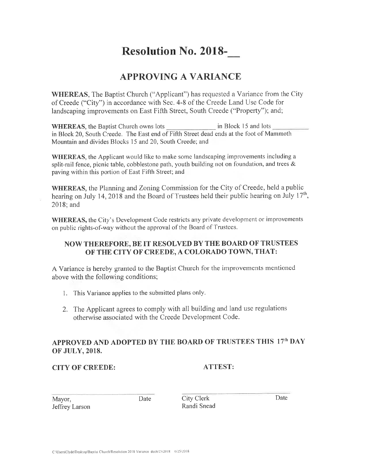# **Resolution No. 2018-**

# **APPROVING A VARIANCE**

**WHEREAS**, The Baptist Church ("Applicant") has requested a Variance from the City of Creede ("City") in accordance with Sec. 4-8 of the Creede Land Use Code for landscaping improvements on East Fifth Street, South Creede ("Property"); and;

in Block 15 and lots **WHEREAS**, the Baptist Church owns lots in Block 20, South Creede. The East end of Fifth Street dead ends at the foot of Mammoth Mountain and divides Blocks 15 and 20, South Creede; and

**WHEREAS**, the Applicant would like to make some landscaping improvements including a split-rail fence, picnic table, cobblestone path, youth building not on foundation, and trees & paving within this portion of East Fifth Street; and

WHEREAS, the Planning and Zoning Commission for the City of Creede, held a public hearing on July 14, 2018 and the Board of Trustees held their public hearing on July 17<sup>th</sup>, 2018; and

WHEREAS, the City's Development Code restricts any private development or improvements on public rights-of-way without the approval of the Board of Trustees.

# NOW THEREFORE, BE IT RESOLVED BY THE BOARD OF TRUSTEES OF THE CITY OF CREEDE, A COLORADO TOWN, THAT:

A Variance is hereby granted to the Baptist Church for the improvements mentioned above with the following conditions;

- 1. This Variance applies to the submitted plans only.
- 2. The Applicant agrees to comply with all building and land use regulations otherwise associated with the Creede Development Code.

# APPROVED AND ADOPTED BY THE BOARD OF TRUSTEES THIS 17th DAY **OF JULY, 2018.**

# **CITY OF CREEDE:**

# **ATTEST:**

| Mayor,         |  |
|----------------|--|
| Jeffrey Larson |  |

Date

City Clerk Randi Snead Date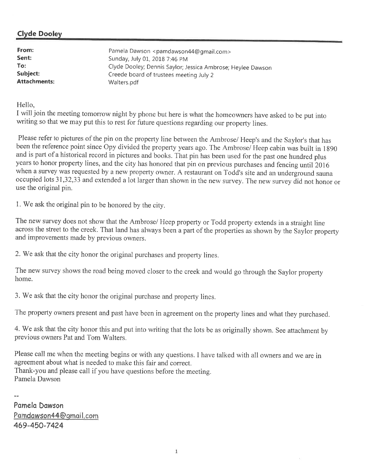# **Clyde Dooley**

| From:               | Pamela Dawson <pamdawson44@gmail.com></pamdawson44@gmail.com> |
|---------------------|---------------------------------------------------------------|
| Sent:               | Sunday, July 01, 2018 7:46 PM                                 |
| To:                 | Clyde Dooley; Dennis Saylor; Jessica Ambrose; Heylee Dawson   |
| Subject:            | Creede board of trustees meeting July 2                       |
| <b>Attachments:</b> | Walters.pdf                                                   |

Hello,

I will join the meeting tomorrow night by phone but here is what the homeowners have asked to be put into writing so that we may put this to rest for future questions regarding our property lines.

Please refer to pictures of the pin on the property line between the Ambrose/ Heep's and the Saylor's that has been the reference point since Opy divided the property years ago. The Ambrose/ Heep cabin was built in 1890 and is part of a historical record in pictures and books. That pin has been used for the past one hundred plus years to honor property lines, and the city has honored that pin on previous purchases and fencing until 2016 when a survey was requested by a new property owner. A restaurant on Todd's site and an underground sauna occupied lots 31,32,33 and extended a lot larger than shown in the new survey. The new survey did not honor or use the original pin.

1. We ask the original pin to be honored by the city.

The new survey does not show that the Ambrose/ Heep property or Todd property extends in a straight line across the street to the creek. That land has always been a part of the properties as shown by the Saylor property and improvements made by previous owners.

2. We ask that the city honor the original purchases and property lines.

The new survey shows the road being moved closer to the creek and would go through the Saylor property home.

3. We ask that the city honor the original purchase and property lines.

The property owners present and past have been in agreement on the property lines and what they purchased.

4. We ask that the city honor this and put into writing that the lots be as originally shown. See attachment by previous owners Pat and Tom Walters.

Please call me when the meeting begins or with any questions. I have talked with all owners and we are in agreement about what is needed to make this fair and correct. Thank-you and please call if you have questions before the meeting. Pamela Dawson

Pamela Dawson Pamdawson44@gmail.com 469-450-7424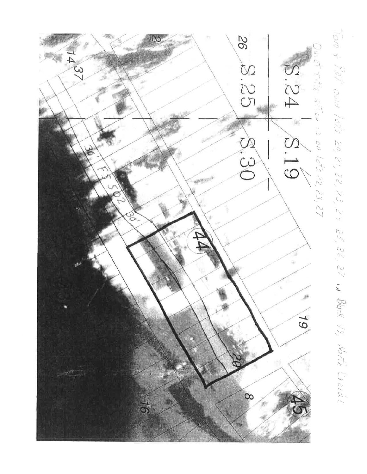